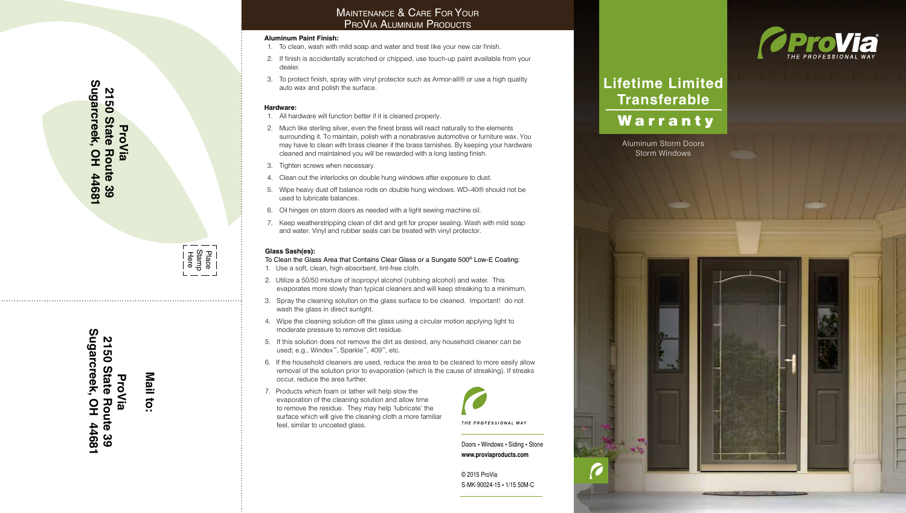# Sugarcreek, OH 44681 **Sugarcreek, OH 44681 2150 State 2150 State Route 39 ProVia** Route ဖွ

Here Stamp Place

Sugarcreek, OH 44681 **Sugarcreek, OH 44681 2150 State Route 39 2150 State Route 39 ProVia**

**Mail to:**

### **Aluminum Paint Finish:**

- 1. To clean, wash with mild soap and water and treat like your new car finish.
- 2. If finish is accidentally scratched or chipped, use touch-up paint available from your dealer.
- 3. To protect finish, spray with vinyl protector such as Armor-all® or use a high quality auto wax and polish the surface.

## **Hardware:**

- 1. All hardware will function better if it is cleaned properly.
- 2. Much like sterling silver, even the finest brass will react naturally to the elements surrounding it. To maintain, polish with a nonabrasive automotive or furniture wax. You may have to clean with brass cleaner if the brass tarnishes. By keeping your hardware cleaned and maintained you will be rewarded with a long lasting finish. **MAINTENANCE & CARE FOR YOUR**<br>**PROVIA ALUMINUM PRODUCTS**<br>To clean, wash with mild soap and water and treat like your new can<br>If finish is accidentally scratched or chipped, use touch-up paint av<br>dealer.<br>To protect finish,
- 3. Tighten screws when necessary.
- 4. Clean out the interlocks on double hung windows after exposure to dust.
- 5. Wipe heavy dust off balance rods on double hung windows. WD–40® should not be used to lubricate balances.
- 6. Oil hinges on storm doors as needed with a light sewing machine oil.
- 7. Keep weatherstripping clean of dirt and grit for proper sealing. Wash with mild soap

# **Glass Sash(es):**

To Clean the Glass Area that Contains Clear Glass or a Sungate 500 ® Low-E Coating: 1. Use a soft, clean, high-absorbent, lint-free cloth.

- 2. Utilize a 50/50 mixture of isopropyl alcohol (rubbing alcohol) and water. This evaporates more slowly than typical cleaners and will keep streaking to a minimum.
- 3. Spray the cleaning solution on the glass surface to be cleaned. Important! do not wash the glass in direct sunlght.
- 4. Wipe the cleaning solution off the glass using a circular motion applying light to moderate pressure to remove dirt residue.
- 5. If this solution does not remove the dirt as desired, any household cleaner can be used; e.g., Windex ™, Sparkle ™, 409 ™, etc.
- 6. If the household cleaners are used, reduce the area to be cleaned to more easily allow removal of the solution prior to evaporation (which is the cause of streaking). If streaks occur, reduce the area further.
- 7. Products which foam or lather will help slow the evaporation of the cleaning solution and allow time to remove the residue. They may help 'lubricate' the surface which will give the cleaning cloth a more familiar feel, similar to uncoated glass.



Doors • Windows • Siding • Stone **www.proviaproducts.com**

© 2015 ProVia S-MK-90024-15 • 1/15 50M-C



# **Lifetime Limited Transferable** Warranty

Aluminum Storm Doors Storm Windows

 $-1$ 

38

**VA**